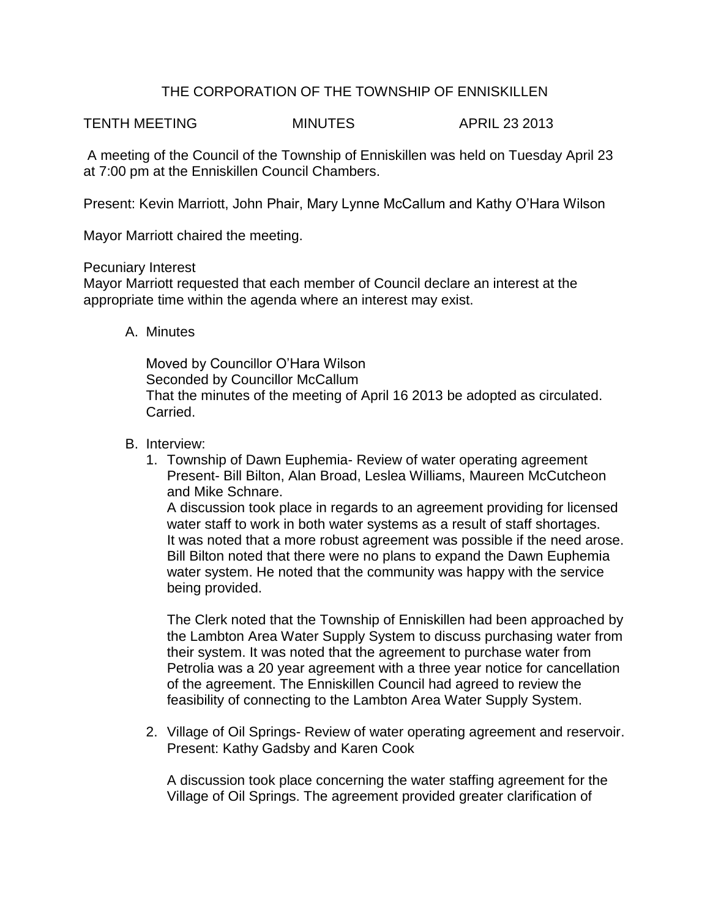## THE CORPORATION OF THE TOWNSHIP OF ENNISKILLEN

TENTH MEETING MINUTES APRIL 23 2013

A meeting of the Council of the Township of Enniskillen was held on Tuesday April 23 at 7:00 pm at the Enniskillen Council Chambers.

Present: Kevin Marriott, John Phair, Mary Lynne McCallum and Kathy O'Hara Wilson

Mayor Marriott chaired the meeting.

## Pecuniary Interest

Mayor Marriott requested that each member of Council declare an interest at the appropriate time within the agenda where an interest may exist.

A. Minutes

Moved by Councillor O'Hara Wilson Seconded by Councillor McCallum That the minutes of the meeting of April 16 2013 be adopted as circulated. Carried.

## B. Interview:

1. Township of Dawn Euphemia- Review of water operating agreement Present- Bill Bilton, Alan Broad, Leslea Williams, Maureen McCutcheon and Mike Schnare. A discussion took place in regards to an agreement providing for licensed

water staff to work in both water systems as a result of staff shortages. It was noted that a more robust agreement was possible if the need arose. Bill Bilton noted that there were no plans to expand the Dawn Euphemia water system. He noted that the community was happy with the service being provided.

The Clerk noted that the Township of Enniskillen had been approached by the Lambton Area Water Supply System to discuss purchasing water from their system. It was noted that the agreement to purchase water from Petrolia was a 20 year agreement with a three year notice for cancellation of the agreement. The Enniskillen Council had agreed to review the feasibility of connecting to the Lambton Area Water Supply System.

2. Village of Oil Springs- Review of water operating agreement and reservoir. Present: Kathy Gadsby and Karen Cook

A discussion took place concerning the water staffing agreement for the Village of Oil Springs. The agreement provided greater clarification of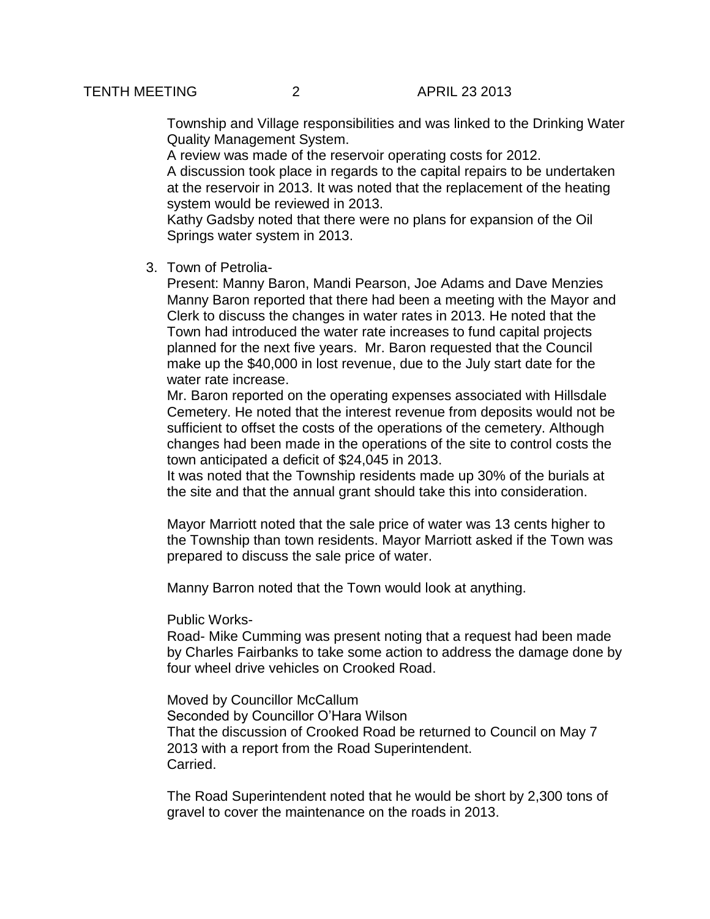Township and Village responsibilities and was linked to the Drinking Water Quality Management System.

A review was made of the reservoir operating costs for 2012. A discussion took place in regards to the capital repairs to be undertaken at the reservoir in 2013. It was noted that the replacement of the heating system would be reviewed in 2013.

Kathy Gadsby noted that there were no plans for expansion of the Oil Springs water system in 2013.

3. Town of Petrolia-

Present: Manny Baron, Mandi Pearson, Joe Adams and Dave Menzies Manny Baron reported that there had been a meeting with the Mayor and Clerk to discuss the changes in water rates in 2013. He noted that the Town had introduced the water rate increases to fund capital projects planned for the next five years. Mr. Baron requested that the Council make up the \$40,000 in lost revenue, due to the July start date for the water rate increase.

Mr. Baron reported on the operating expenses associated with Hillsdale Cemetery. He noted that the interest revenue from deposits would not be sufficient to offset the costs of the operations of the cemetery. Although changes had been made in the operations of the site to control costs the town anticipated a deficit of \$24,045 in 2013.

It was noted that the Township residents made up 30% of the burials at the site and that the annual grant should take this into consideration.

Mayor Marriott noted that the sale price of water was 13 cents higher to the Township than town residents. Mayor Marriott asked if the Town was prepared to discuss the sale price of water.

Manny Barron noted that the Town would look at anything.

Public Works-

Road- Mike Cumming was present noting that a request had been made by Charles Fairbanks to take some action to address the damage done by four wheel drive vehicles on Crooked Road.

Moved by Councillor McCallum Seconded by Councillor O'Hara Wilson That the discussion of Crooked Road be returned to Council on May 7 2013 with a report from the Road Superintendent. Carried.

The Road Superintendent noted that he would be short by 2,300 tons of gravel to cover the maintenance on the roads in 2013.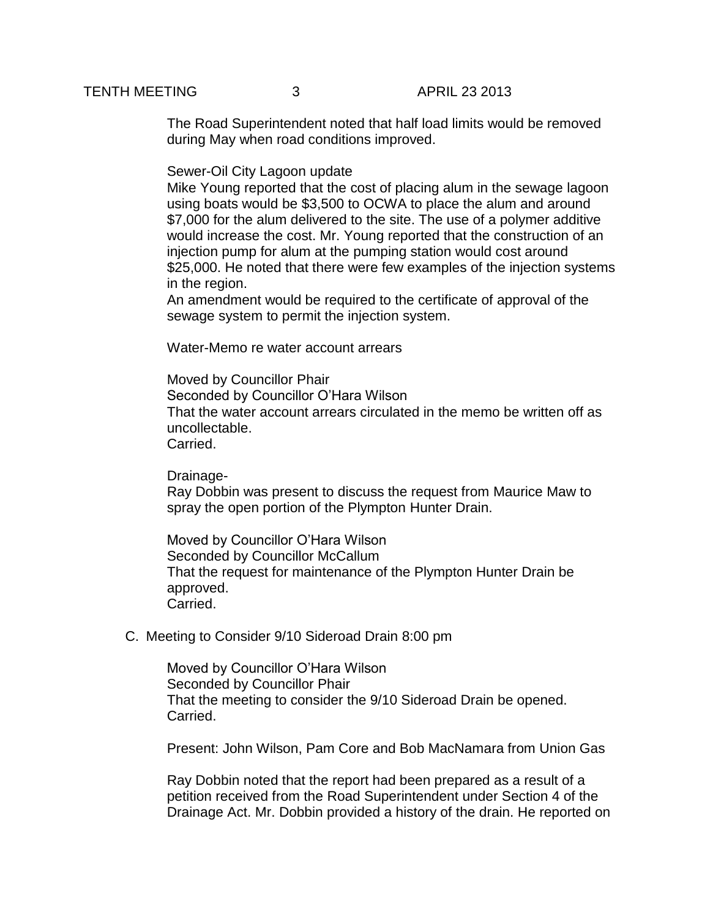The Road Superintendent noted that half load limits would be removed during May when road conditions improved.

Sewer-Oil City Lagoon update

Mike Young reported that the cost of placing alum in the sewage lagoon using boats would be \$3,500 to OCWA to place the alum and around \$7,000 for the alum delivered to the site. The use of a polymer additive would increase the cost. Mr. Young reported that the construction of an injection pump for alum at the pumping station would cost around \$25,000. He noted that there were few examples of the injection systems in the region.

An amendment would be required to the certificate of approval of the sewage system to permit the injection system.

Water-Memo re water account arrears

Moved by Councillor Phair Seconded by Councillor O'Hara Wilson That the water account arrears circulated in the memo be written off as uncollectable. Carried.

Drainage-

Ray Dobbin was present to discuss the request from Maurice Maw to spray the open portion of the Plympton Hunter Drain.

Moved by Councillor O'Hara Wilson Seconded by Councillor McCallum That the request for maintenance of the Plympton Hunter Drain be approved. Carried.

C. Meeting to Consider 9/10 Sideroad Drain 8:00 pm

Moved by Councillor O'Hara Wilson Seconded by Councillor Phair That the meeting to consider the 9/10 Sideroad Drain be opened. Carried.

Present: John Wilson, Pam Core and Bob MacNamara from Union Gas

Ray Dobbin noted that the report had been prepared as a result of a petition received from the Road Superintendent under Section 4 of the Drainage Act. Mr. Dobbin provided a history of the drain. He reported on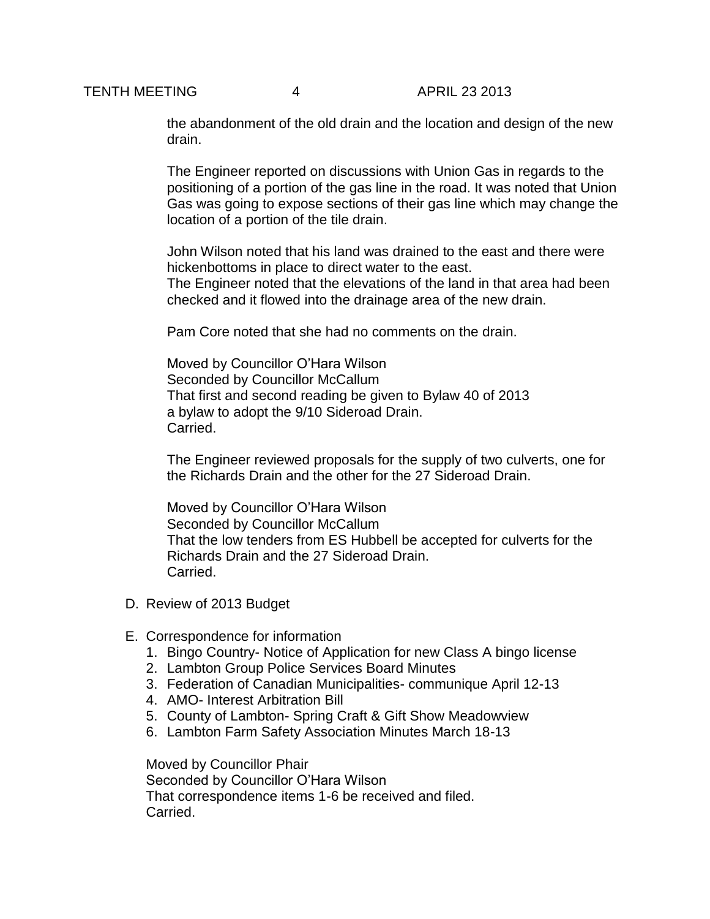the abandonment of the old drain and the location and design of the new drain.

The Engineer reported on discussions with Union Gas in regards to the positioning of a portion of the gas line in the road. It was noted that Union Gas was going to expose sections of their gas line which may change the location of a portion of the tile drain.

John Wilson noted that his land was drained to the east and there were hickenbottoms in place to direct water to the east.

The Engineer noted that the elevations of the land in that area had been checked and it flowed into the drainage area of the new drain.

Pam Core noted that she had no comments on the drain.

Moved by Councillor O'Hara Wilson Seconded by Councillor McCallum That first and second reading be given to Bylaw 40 of 2013 a bylaw to adopt the 9/10 Sideroad Drain. Carried.

The Engineer reviewed proposals for the supply of two culverts, one for the Richards Drain and the other for the 27 Sideroad Drain.

Moved by Councillor O'Hara Wilson Seconded by Councillor McCallum That the low tenders from ES Hubbell be accepted for culverts for the Richards Drain and the 27 Sideroad Drain. Carried.

- D. Review of 2013 Budget
- E. Correspondence for information
	- 1. Bingo Country- Notice of Application for new Class A bingo license
	- 2. Lambton Group Police Services Board Minutes
	- 3. Federation of Canadian Municipalities- communique April 12-13
	- 4. AMO- Interest Arbitration Bill
	- 5. County of Lambton- Spring Craft & Gift Show Meadowview
	- 6. Lambton Farm Safety Association Minutes March 18-13

Moved by Councillor Phair Seconded by Councillor O'Hara Wilson That correspondence items 1-6 be received and filed. Carried.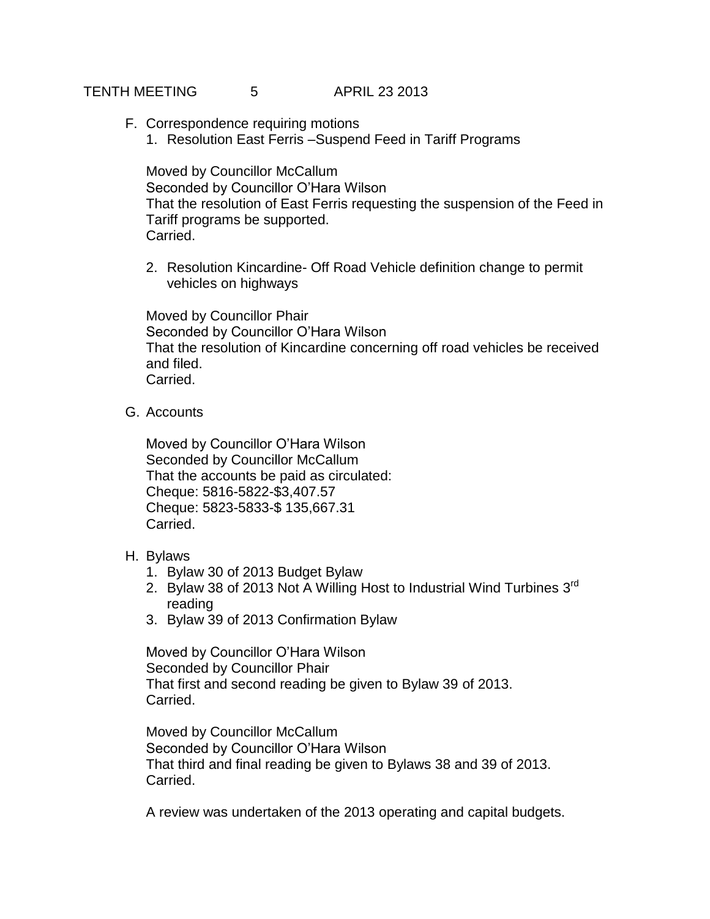## TENTH MEETING 5 APRIL 23 2013

- F. Correspondence requiring motions
	- 1. Resolution East Ferris –Suspend Feed in Tariff Programs

Moved by Councillor McCallum Seconded by Councillor O'Hara Wilson That the resolution of East Ferris requesting the suspension of the Feed in Tariff programs be supported. Carried.

2. Resolution Kincardine- Off Road Vehicle definition change to permit vehicles on highways

Moved by Councillor Phair Seconded by Councillor O'Hara Wilson That the resolution of Kincardine concerning off road vehicles be received and filed. Carried.

G. Accounts

Moved by Councillor O'Hara Wilson Seconded by Councillor McCallum That the accounts be paid as circulated: Cheque: 5816-5822-\$3,407.57 Cheque: 5823-5833-\$ 135,667.31 Carried.

- H. Bylaws
	- 1. Bylaw 30 of 2013 Budget Bylaw
	- 2. Bylaw 38 of 2013 Not A Willing Host to Industrial Wind Turbines  $3^{rd}$ reading
	- 3. Bylaw 39 of 2013 Confirmation Bylaw

Moved by Councillor O'Hara Wilson Seconded by Councillor Phair That first and second reading be given to Bylaw 39 of 2013. Carried.

Moved by Councillor McCallum Seconded by Councillor O'Hara Wilson That third and final reading be given to Bylaws 38 and 39 of 2013. Carried.

A review was undertaken of the 2013 operating and capital budgets.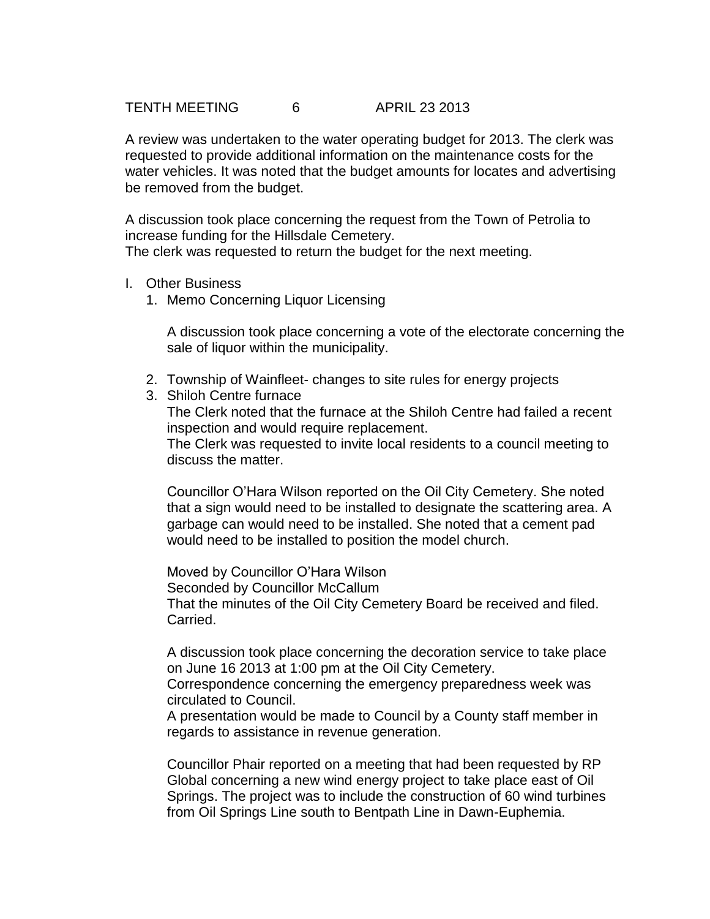TENTH MEETING 6 APRIL 23 2013

A review was undertaken to the water operating budget for 2013. The clerk was requested to provide additional information on the maintenance costs for the water vehicles. It was noted that the budget amounts for locates and advertising be removed from the budget.

A discussion took place concerning the request from the Town of Petrolia to increase funding for the Hillsdale Cemetery. The clerk was requested to return the budget for the next meeting.

- I. Other Business
	- 1. Memo Concerning Liquor Licensing

A discussion took place concerning a vote of the electorate concerning the sale of liquor within the municipality.

- 2. Township of Wainfleet- changes to site rules for energy projects
- 3. Shiloh Centre furnace The Clerk noted that the furnace at the Shiloh Centre had failed a recent inspection and would require replacement. The Clerk was requested to invite local residents to a council meeting to discuss the matter.

Councillor O'Hara Wilson reported on the Oil City Cemetery. She noted that a sign would need to be installed to designate the scattering area. A garbage can would need to be installed. She noted that a cement pad would need to be installed to position the model church.

Moved by Councillor O'Hara Wilson Seconded by Councillor McCallum That the minutes of the Oil City Cemetery Board be received and filed. Carried.

A discussion took place concerning the decoration service to take place on June 16 2013 at 1:00 pm at the Oil City Cemetery.

Correspondence concerning the emergency preparedness week was circulated to Council.

A presentation would be made to Council by a County staff member in regards to assistance in revenue generation.

Councillor Phair reported on a meeting that had been requested by RP Global concerning a new wind energy project to take place east of Oil Springs. The project was to include the construction of 60 wind turbines from Oil Springs Line south to Bentpath Line in Dawn-Euphemia.